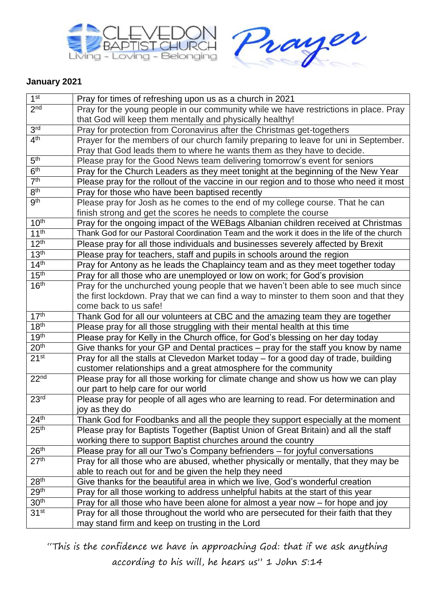



## **January 2021**

| 1 <sup>st</sup>                      | Pray for times of refreshing upon us as a church in 2021                                    |
|--------------------------------------|---------------------------------------------------------------------------------------------|
| 2 <sub>nd</sub>                      | Pray for the young people in our community while we have restrictions in place. Pray        |
|                                      | that God will keep them mentally and physically healthy!                                    |
| 3 <sup>rd</sup>                      | Pray for protection from Coronavirus after the Christmas get-togethers                      |
| 4 <sup>th</sup>                      | Prayer for the members of our church family preparing to leave for uni in September.        |
|                                      | Pray that God leads them to where he wants them as they have to decide.                     |
| 5 <sup>th</sup>                      | Please pray for the Good News team delivering tomorrow's event for seniors                  |
| 6 <sup>th</sup>                      | Pray for the Church Leaders as they meet tonight at the beginning of the New Year           |
| 7 <sup>th</sup>                      | Please pray for the rollout of the vaccine in our region and to those who need it most      |
| 8 <sup>th</sup>                      | Pray for those who have been baptised recently                                              |
| gth                                  | Please pray for Josh as he comes to the end of my college course. That he can               |
|                                      | finish strong and get the scores he needs to complete the course                            |
| 10 <sup>th</sup>                     | Pray for the ongoing impact of the WEBags Albanian children received at Christmas           |
| 11 <sup>th</sup>                     | Thank God for our Pastoral Coordination Team and the work it does in the life of the church |
| 12 <sup>th</sup>                     | Please pray for all those individuals and businesses severely affected by Brexit            |
| 13 <sup>th</sup>                     | Please pray for teachers, staff and pupils in schools around the region                     |
| 14 <sup>th</sup>                     | Pray for Antony as he leads the Chaplaincy team and as they meet together today             |
| 15 <sup>th</sup>                     | Pray for all those who are unemployed or low on work; for God's provision                   |
| 16 <sup>th</sup>                     | Pray for the unchurched young people that we haven't been able to see much since            |
|                                      | the first lockdown. Pray that we can find a way to minster to them soon and that they       |
|                                      | come back to us safe!                                                                       |
| 17 <sup>th</sup>                     | Thank God for all our volunteers at CBC and the amazing team they are together              |
| 18 <sup>th</sup>                     | Please pray for all those struggling with their mental health at this time                  |
| 19 <sup>th</sup>                     | Please pray for Kelly in the Church office, for God's blessing on her day today             |
| 20 <sup>th</sup>                     | Give thanks for your GP and Dental practices – pray for the staff you know by name          |
| 21 <sup>st</sup>                     | Pray for all the stalls at Clevedon Market today - for a good day of trade, building        |
|                                      | customer relationships and a great atmosphere for the community                             |
| 22 <sup>nd</sup>                     | Please pray for all those working for climate change and show us how we can play            |
|                                      | our part to help care for our world                                                         |
| 23 <sup>rd</sup>                     | Please pray for people of all ages who are learning to read. For determination and          |
|                                      | joy as they do                                                                              |
| 24 <sup>th</sup>                     | Thank God for Foodbanks and all the people they support especially at the moment            |
| 25 <sup>th</sup>                     | Please pray for Baptists Together (Baptist Union of Great Britain) and all the staff        |
|                                      | working there to support Baptist churches around the country                                |
| 26 <sup>th</sup><br>27 <sup>th</sup> | Please pray for all our Two's Company befrienders – for joyful conversations                |
|                                      | Pray for all those who are abused, whether physically or mentally, that they may be         |
| 28 <sup>th</sup>                     | able to reach out for and be given the help they need                                       |
| 29 <sup>th</sup>                     | Give thanks for the beautiful area in which we live, God's wonderful creation               |
| 30 <sup>th</sup>                     | Pray for all those working to address unhelpful habits at the start of this year            |
| 31 <sup>st</sup>                     | Pray for all those who have been alone for almost a year now - for hope and joy             |
|                                      | Pray for all those throughout the world who are persecuted for their faith that they        |
|                                      | may stand firm and keep on trusting in the Lord                                             |

"This is the confidence we have in approaching God: that if we ask anything according to his will, he hears us" 1 John 5:14